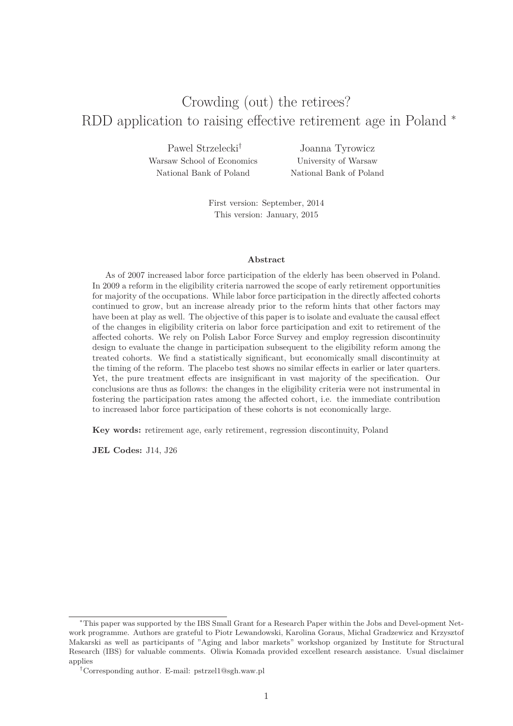# Crowding (out) the retirees? RDD application to raising effective retirement age in Poland<sup>\*</sup>

Pawel Strzelecki† Warsaw School of Economics National Bank of Poland

Joanna Tyrowicz University of Warsaw National Bank of Poland

First version: September, 2014 This version: January, 2015

#### **Abstract**

As of 2007 increased labor force participation of the elderly has been observed in Poland. In 2009 a reform in the eligibility criteria narrowed the scope of early retirement opportunities for majority of the occupations. While labor force participation in the directly affected cohorts continued to grow, but an increase already prior to the reform hints that other factors may have been at play as well. The objective of this paper is to isolate and evaluate the causal effect of the changes in eligibility criteria on labor force participation and exit to retirement of the affected cohorts. We rely on Polish Labor Force Survey and employ regression discontinuity design to evaluate the change in participation subsequent to the eligibility reform among the treated cohorts. We find a statistically significant, but economically small discontinuity at the timing of the reform. The placebo test shows no similar effects in earlier or later quarters. Yet, the pure treatment effects are insignificant in vast majority of the specification. Our conclusions are thus as follows: the changes in the eligibility criteria were not instrumental in fostering the participation rates among the affected cohort, i.e. the immediate contribution to increased labor force participation of these cohorts is not economically large.

**Key words:** retirement age, early retirement, regression discontinuity, Poland

**JEL Codes:** J14, J26

<sup>∗</sup>This paper was supported by the IBS Small Grant for a Research Paper within the Jobs and Devel-opment Network programme. Authors are grateful to Piotr Lewandowski, Karolina Goraus, Michal Gradzewicz and Krzysztof Makarski as well as participants of "Aging and labor markets" workshop organized by Institute for Structural Research (IBS) for valuable comments. Oliwia Komada provided excellent research assistance. Usual disclaimer applies

<sup>†</sup>Corresponding author. E-mail: pstrzel1@sgh.waw.pl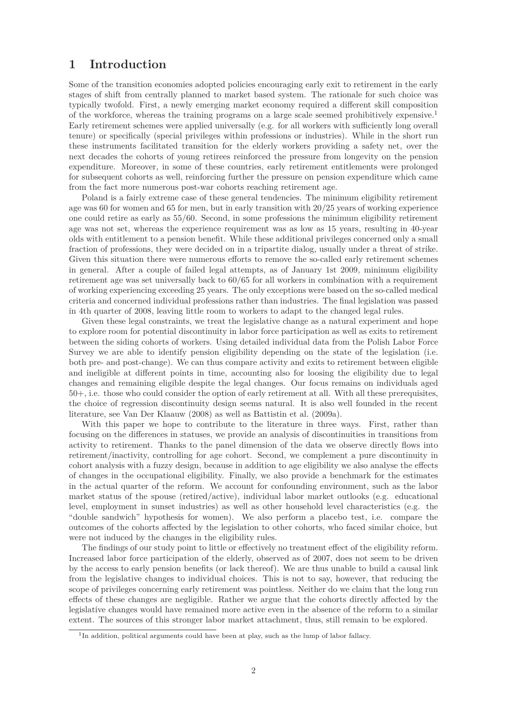# **1 Introduction**

Some of the transition economies adopted policies encouraging early exit to retirement in the early stages of shift from centrally planned to market based system. The rationale for such choice was typically twofold. First, a newly emerging market economy required a different skill composition of the workforce, whereas the training programs on a large scale seemed prohibitively expensive.<sup>1</sup> Early retirement schemes were applied universally (e.g. for all workers with sufficiently long overall tenure) or specifically (special privileges within professions or industries). While in the short run these instruments facilitated transition for the elderly workers providing a safety net, over the next decades the cohorts of young retirees reinforced the pressure from longevity on the pension expenditure. Moreover, in some of these countries, early retirement entitlements were prolonged for subsequent cohorts as well, reinforcing further the pressure on pension expenditure which came from the fact more numerous post-war cohorts reaching retirement age.

Poland is a fairly extreme case of these general tendencies. The minimum eligibility retirement age was 60 for women and 65 for men, but in early transition with 20/25 years of working experience one could retire as early as 55/60. Second, in some professions the minimum eligibility retirement age was not set, whereas the experience requirement was as low as 15 years, resulting in 40-year olds with entitlement to a pension benefit. While these additional privileges concerned only a small fraction of professions, they were decided on in a tripartite dialog, usually under a threat of strike. Given this situation there were numerous efforts to remove the so-called early retirement schemes in general. After a couple of failed legal attempts, as of January 1st 2009, minimum eligibility retirement age was set universally back to 60/65 for all workers in combination with a requirement of working experiencing exceeding 25 years. The only exceptions were based on the so-called medical criteria and concerned individual professions rather than industries. The final legislation was passed in 4th quarter of 2008, leaving little room to workers to adapt to the changed legal rules.

Given these legal constraints, we treat the legislative change as a natural experiment and hope to explore room for potential discontinuity in labor force participation as well as exits to retirement between the siding cohorts of workers. Using detailed individual data from the Polish Labor Force Survey we are able to identify pension eligibility depending on the state of the legislation (i.e. both pre- and post-change). We can thus compare activity and exits to retirement between eligible and ineligible at different points in time, accounting also for loosing the eligibility due to legal changes and remaining eligible despite the legal changes. Our focus remains on individuals aged 50+, i.e. those who could consider the option of early retirement at all. With all these prerequisites, the choice of regression discontinuity design seems natural. It is also well founded in the recent literature, see Van Der Klaauw (2008) as well as Battistin et al. (2009a).

With this paper we hope to contribute to the literature in three ways. First, rather than focusing on the differences in statuses, we provide an analysis of discontinuities in transitions from activity to retirement. Thanks to the panel dimension of the data we observe directly flows into retirement/inactivity, controlling for age cohort. Second, we complement a pure discontinuity in cohort analysis with a fuzzy design, because in addition to age eligibility we also analyse the effects of changes in the occupational eligibility. Finally, we also provide a benchmark for the estimates in the actual quarter of the reform. We account for confounding environment, such as the labor market status of the spouse (retired/active), individual labor market outlooks (e.g. educational level, employment in sunset industries) as well as other household level characteristics (e.g. the "double sandwich" hypothesis for women). We also perform a placebo test, i.e. compare the outcomes of the cohorts affected by the legislation to other cohorts, who faced similar choice, but were not induced by the changes in the eligibility rules.

The findings of our study point to little or effectively no treatment effect of the eligibility reform. Increased labor force participation of the elderly, observed as of 2007, does not seem to be driven by the access to early pension benefits (or lack thereof). We are thus unable to build a causal link from the legislative changes to individual choices. This is not to say, however, that reducing the scope of privileges concerning early retirement was pointless. Neither do we claim that the long run effects of these changes are negligible. Rather we argue that the cohorts directly affected by the legislative changes would have remained more active even in the absence of the reform to a similar extent. The sources of this stronger labor market attachment, thus, still remain to be explored.

<sup>&</sup>lt;sup>1</sup>In addition, political arguments could have been at play, such as the lump of labor fallacy.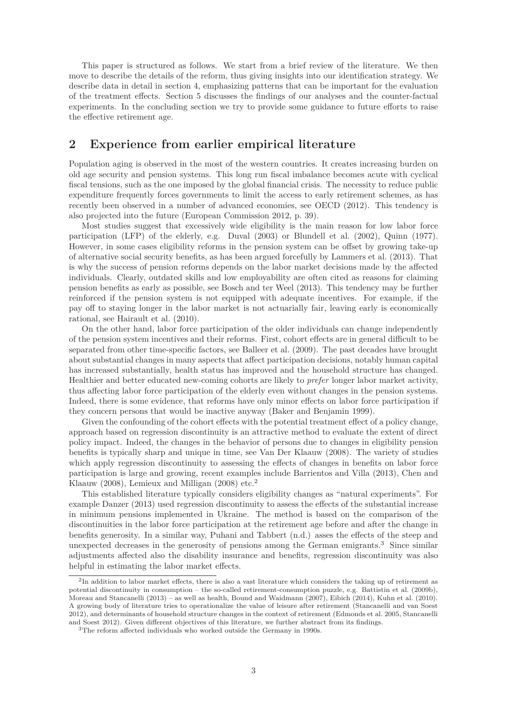This paper is structured as follows. We start from a brief review of the literature. We then move to describe the details of the reform, thus giving insights into our identification strategy. We describe data in detail in section 4, emphasizing patterns that can be important for the evaluation of the treatment effects. Section 5 discusses the findings of our analyses and the counter-factual experiments. In the concluding section we try to provide some guidance to future efforts to raise the effective retirement age.

### **2 Experience from earlier empirical literature**

Population aging is observed in the most of the western countries. It creates increasing burden on old age security and pension systems. This long run fiscal imbalance becomes acute with cyclical fiscal tensions, such as the one imposed by the global financial crisis. The necessity to reduce public expenditure frequently forces governments to limit the access to early retirement schemes, as has recently been observed in a number of advanced economies, see OECD (2012). This tendency is also projected into the future (European Commission 2012, p. 39).

Most studies suggest that excessively wide eligibility is the main reason for low labor force participation (LFP) of the elderly, e.g. Duval (2003) or Blundell et al. (2002), Quinn (1977). However, in some cases eligibility reforms in the pension system can be offset by growing take-up of alternative social security benefits, as has been argued forcefully by Lammers et al. (2013). That is why the success of pension reforms depends on the labor market decisions made by the affected individuals. Clearly, outdated skills and low employability are often cited as reasons for claiming pension benefits as early as possible, see Bosch and ter Weel (2013). This tendency may be further reinforced if the pension system is not equipped with adequate incentives. For example, if the pay off to staying longer in the labor market is not actuarially fair, leaving early is economically rational, see Hairault et al. (2010).

On the other hand, labor force participation of the older individuals can change independently of the pension system incentives and their reforms. First, cohort effects are in general difficult to be separated from other time-specific factors, see Balleer et al. (2009). The past decades have brought about substantial changes in many aspects that affect participation decisions, notably human capital has increased substantially, health status has improved and the household structure has changed. Healthier and better educated new-coming cohorts are likely to *prefer* longer labor market activity, thus affecting labor force participation of the elderly even without changes in the pension systems. Indeed, there is some evidence, that reforms have only minor effects on labor force participation if they concern persons that would be inactive anyway (Baker and Benjamin 1999).

Given the confounding of the cohort effects with the potential treatment effect of a policy change, approach based on regression discontinuity is an attractive method to evaluate the extent of direct policy impact. Indeed, the changes in the behavior of persons due to changes in eligibility pension benefits is typically sharp and unique in time, see Van Der Klaauw (2008). The variety of studies which apply regression discontinuity to assessing the effects of changes in benefits on labor force participation is large and growing, recent examples include Barrientos and Villa (2013), Chen and Klaauw (2008), Lemieux and Milligan (2008) etc.<sup>2</sup>

This established literature typically considers eligibility changes as "natural experiments". For example Danzer (2013) used regression discontinuity to assess the effects of the substantial increase in minimum pensions implemented in Ukraine. The method is based on the comparison of the discontinuities in the labor force participation at the retirement age before and after the change in benefits generosity. In a similar way, Puhani and Tabbert (n.d.) asses the effects of the steep and unexpected decreases in the generosity of pensions among the German emigrants.<sup>3</sup> Since similar adjustments affected also the disability insurance and benefits, regression discontinuity was also helpful in estimating the labor market effects.

<sup>&</sup>lt;sup>2</sup>In addition to labor market effects, there is also a vast literature which considers the taking up of retirement as potential discontinuity in consumption – the so-called retirement-consumption puzzle, e.g. Battistin et al. (2009b), Moreau and Stancanelli (2013) – as well as health, Bound and Waidmann (2007), Eibich (2014), Kuhn et al. (2010). A growing body of literature tries to operationalize the value of leisure after retirement (Stancanelli and van Soest 2012), and determinants of household structure changes in the context of retirement (Edmonds et al. 2005, Stancanelli and Soest 2012). Given different objectives of this literature, we further abstract from its findings.

<sup>3</sup>The reform affected individuals who worked outside the Germany in 1990s.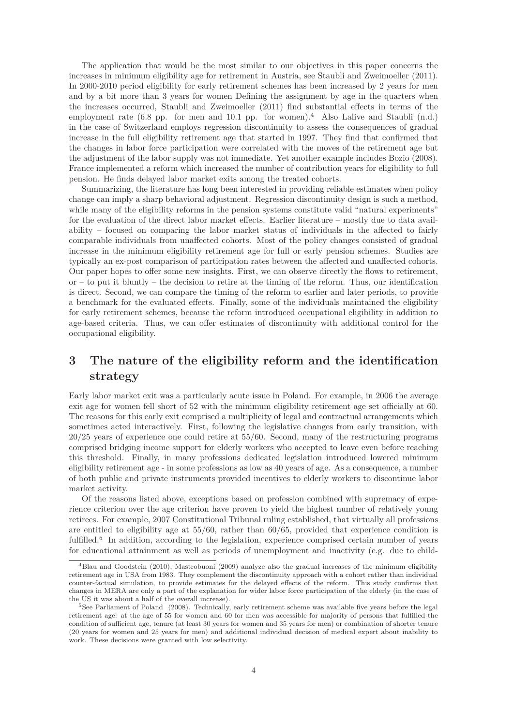The application that would be the most similar to our objectives in this paper concerns the increases in minimum eligibility age for retirement in Austria, see Staubli and Zweimoeller (2011). In 2000-2010 period eligibility for early retirement schemes has been increased by 2 years for men and by a bit more than 3 years for women Defining the assignment by age in the quarters when the increases occurred, Staubli and Zweimoeller (2011) find substantial effects in terms of the employment rate  $(6.8 \text{ pp.} \text{ for } \text{men and } 10.1 \text{ pp.} \text{ for } \text{women.}^4$  Also Lalive and Staubli  $(\text{n.d.})$ in the case of Switzerland employs regression discontinuity to assess the consequences of gradual increase in the full eligibility retirement age that started in 1997. They find that confirmed that the changes in labor force participation were correlated with the moves of the retirement age but the adjustment of the labor supply was not immediate. Yet another example includes Bozio (2008). France implemented a reform which increased the number of contribution years for eligibility to full pension. He finds delayed labor market exits among the treated cohorts.

Summarizing, the literature has long been interested in providing reliable estimates when policy change can imply a sharp behavioral adjustment. Regression discontinuity design is such a method, while many of the eligibility reforms in the pension systems constitute valid "natural experiments" for the evaluation of the direct labor market effects. Earlier literature – mostly due to data availability – focused on comparing the labor market status of individuals in the affected to fairly comparable individuals from unaffected cohorts. Most of the policy changes consisted of gradual increase in the minimum eligibility retirement age for full or early pension schemes. Studies are typically an ex-post comparison of participation rates between the affected and unaffected cohorts. Our paper hopes to offer some new insights. First, we can observe directly the flows to retirement,  $\alpha$  – to put it bluntly – the decision to retire at the timing of the reform. Thus, our identification is direct. Second, we can compare the timing of the reform to earlier and later periods, to provide a benchmark for the evaluated effects. Finally, some of the individuals maintained the eligibility for early retirement schemes, because the reform introduced occupational eligibility in addition to age-based criteria. Thus, we can offer estimates of discontinuity with additional control for the occupational eligibility.

# **3 The nature of the eligibility reform and the identification strategy**

Early labor market exit was a particularly acute issue in Poland. For example, in 2006 the average exit age for women fell short of 52 with the minimum eligibility retirement age set officially at 60. The reasons for this early exit comprised a multiplicity of legal and contractual arrangements which sometimes acted interactively. First, following the legislative changes from early transition, with 20/25 years of experience one could retire at 55/60. Second, many of the restructuring programs comprised bridging income support for elderly workers who accepted to leave even before reaching this threshold. Finally, in many professions dedicated legislation introduced lowered minimum eligibility retirement age - in some professions as low as 40 years of age. As a consequence, a number of both public and private instruments provided incentives to elderly workers to discontinue labor market activity.

Of the reasons listed above, exceptions based on profession combined with supremacy of experience criterion over the age criterion have proven to yield the highest number of relatively young retirees. For example, 2007 Constitutional Tribunal ruling established, that virtually all professions are entitled to eligibility age at 55/60, rather than 60/65, provided that experience condition is fulfilled.<sup>5</sup> In addition, according to the legislation, experience comprised certain number of years for educational attainment as well as periods of unemployment and inactivity (e.g. due to child-

 $^{4}$ Blau and Goodstein (2010), Mastrobuoni (2009) analyze also the gradual increases of the minimum eligibility retirement age in USA from 1983. They complement the discontinuity approach with a cohort rather than individual counter-factual simulation, to provide estimates for the delayed effects of the reform. This study confirms that changes in MERA are only a part of the explanation for wider labor force participation of the elderly (in the case of the US it was about a half of the overall increase).

<sup>5</sup>See Parliament of Poland (2008). Technically, early retirement scheme was available five years before the legal retirement age: at the age of 55 for women and 60 for men was accessible for majority of persons that fulfilled the condition of sufficient age, tenure (at least 30 years for women and 35 years for men) or combination of shorter tenure (20 years for women and 25 years for men) and additional individual decision of medical expert about inability to work. These decisions were granted with low selectivity.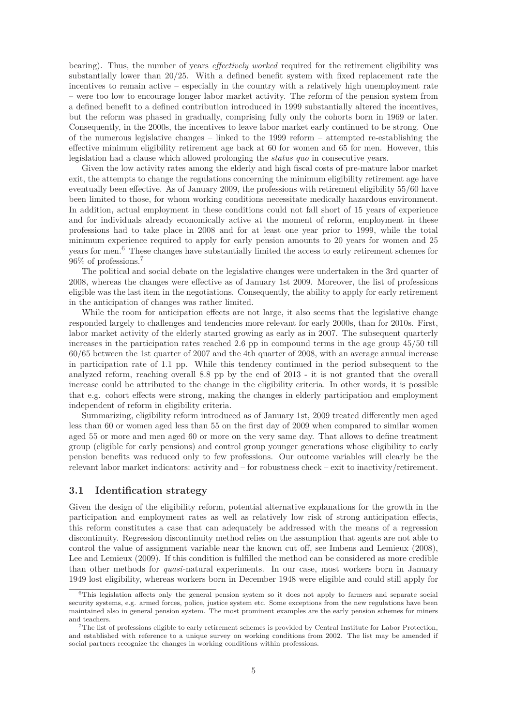bearing). Thus, the number of years *effectively worked* required for the retirement eligibility was substantially lower than 20/25. With a defined benefit system with fixed replacement rate the incentives to remain active – especially in the country with a relatively high unemployment rate – were too low to encourage longer labor market activity. The reform of the pension system from a defined benefit to a defined contribution introduced in 1999 substantially altered the incentives, but the reform was phased in gradually, comprising fully only the cohorts born in 1969 or later. Consequently, in the 2000s, the incentives to leave labor market early continued to be strong. One of the numerous legislative changes – linked to the 1999 reform – attempted re-establishing the effective minimum eligibility retirement age back at 60 for women and 65 for men. However, this legislation had a clause which allowed prolonging the *status quo* in consecutive years.

Given the low activity rates among the elderly and high fiscal costs of pre-mature labor market exit, the attempts to change the regulations concerning the minimum eligibility retirement age have eventually been effective. As of January 2009, the professions with retirement eligibility 55/60 have been limited to those, for whom working conditions necessitate medically hazardous environment. In addition, actual employment in these conditions could not fall short of 15 years of experience and for individuals already economically active at the moment of reform, employment in these professions had to take place in 2008 and for at least one year prior to 1999, while the total minimum experience required to apply for early pension amounts to 20 years for women and 25 years for men.<sup>6</sup> These changes have substantially limited the access to early retirement schemes for 96% of professions.<sup>7</sup>

The political and social debate on the legislative changes were undertaken in the 3rd quarter of 2008, whereas the changes were effective as of January 1st 2009. Moreover, the list of professions eligible was the last item in the negotiations. Consequently, the ability to apply for early retirement in the anticipation of changes was rather limited.

While the room for anticipation effects are not large, it also seems that the legislative change responded largely to challenges and tendencies more relevant for early 2000s, than for 2010s. First, labor market activity of the elderly started growing as early as in 2007. The subsequent quarterly increases in the participation rates reached 2.6 pp in compound terms in the age group 45/50 till 60/65 between the 1st quarter of 2007 and the 4th quarter of 2008, with an average annual increase in participation rate of 1.1 pp. While this tendency continued in the period subsequent to the analyzed reform, reaching overall 8.8 pp by the end of 2013 - it is not granted that the overall increase could be attributed to the change in the eligibility criteria. In other words, it is possible that e.g. cohort effects were strong, making the changes in elderly participation and employment independent of reform in eligibility criteria.

Summarizing, eligibility reform introduced as of January 1st, 2009 treated differently men aged less than 60 or women aged less than 55 on the first day of 2009 when compared to similar women aged 55 or more and men aged 60 or more on the very same day. That allows to define treatment group (eligible for early pensions) and control group younger generations whose eligibility to early pension benefits was reduced only to few professions. Our outcome variables will clearly be the relevant labor market indicators: activity and – for robustness check – exit to inactivity/retirement.

#### **3.1 Identification strategy**

Given the design of the eligibility reform, potential alternative explanations for the growth in the participation and employment rates as well as relatively low risk of strong anticipation effects, this reform constitutes a case that can adequately be addressed with the means of a regression discontinuity. Regression discontinuity method relies on the assumption that agents are not able to control the value of assignment variable near the known cut off, see Imbens and Lemieux (2008), Lee and Lemieux (2009). If this condition is fulfilled the method can be considered as more credible than other methods for *quasi*-natural experiments. In our case, most workers born in January 1949 lost eligibility, whereas workers born in December 1948 were eligible and could still apply for

<sup>6</sup>This legislation affects only the general pension system so it does not apply to farmers and separate social security systems, e.g. armed forces, police, justice system etc. Some exceptions from the new regulations have been maintained also in general pension system. The most prominent examples are the early pension schemes for miners and teachers.

<sup>&</sup>lt;sup>7</sup>The list of professions eligible to early retirement schemes is provided by Central Institute for Labor Protection, and established with reference to a unique survey on working conditions from 2002. The list may be amended if social partners recognize the changes in working conditions within professions.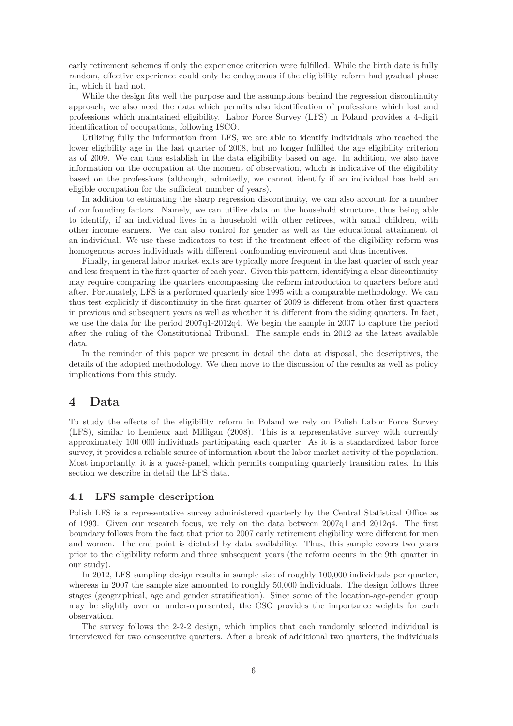early retirement schemes if only the experience criterion were fulfilled. While the birth date is fully random, effective experience could only be endogenous if the eligibility reform had gradual phase in, which it had not.

While the design fits well the purpose and the assumptions behind the regression discontinuity approach, we also need the data which permits also identification of professions which lost and professions which maintained eligibility. Labor Force Survey (LFS) in Poland provides a 4-digit identification of occupations, following ISCO.

Utilizing fully the information from LFS, we are able to identify individuals who reached the lower eligibility age in the last quarter of 2008, but no longer fulfilled the age eligibility criterion as of 2009. We can thus establish in the data eligibility based on age. In addition, we also have information on the occupation at the moment of observation, which is indicative of the eligibility based on the professions (although, admitedly, we cannot identify if an individual has held an eligible occupation for the sufficient number of years).

In addition to estimating the sharp regression discontinuity, we can also account for a number of confounding factors. Namely, we can utilize data on the household structure, thus being able to identify, if an individual lives in a household with other retirees, with small children, with other income earners. We can also control for gender as well as the educational attainment of an individual. We use these indicators to test if the treatment effect of the eligibility reform was homogenous across individuals with different confounding enviroment and thus incentives.

Finally, in general labor market exits are typically more frequent in the last quarter of each year and less frequent in the first quarter of each year. Given this pattern, identifying a clear discontinuity may require comparing the quarters encompassing the reform introduction to quarters before and after. Fortunately, LFS is a performed quarterly sice 1995 with a comparable methodology. We can thus test explicitly if discontinuity in the first quarter of 2009 is different from other first quarters in previous and subsequent years as well as whether it is different from the siding quarters. In fact, we use the data for the period 2007q1-2012q4. We begin the sample in 2007 to capture the period after the ruling of the Constitutional Tribunal. The sample ends in 2012 as the latest available data.

In the reminder of this paper we present in detail the data at disposal, the descriptives, the details of the adopted methodology. We then move to the discussion of the results as well as policy implications from this study.

### **4 Data**

To study the effects of the eligibility reform in Poland we rely on Polish Labor Force Survey (LFS), similar to Lemieux and Milligan (2008). This is a representative survey with currently approximately 100 000 individuals participating each quarter. As it is a standardized labor force survey, it provides a reliable source of information about the labor market activity of the population. Most importantly, it is a *quasi*-panel, which permits computing quarterly transition rates. In this section we describe in detail the LFS data.

#### **4.1 LFS sample description**

Polish LFS is a representative survey administered quarterly by the Central Statistical Office as of 1993. Given our research focus, we rely on the data between 2007q1 and 2012q4. The first boundary follows from the fact that prior to 2007 early retirement eligibility were different for men and women. The end point is dictated by data availability. Thus, this sample covers two years prior to the eligibility reform and three subsequent years (the reform occurs in the 9th quarter in our study).

In 2012, LFS sampling design results in sample size of roughly 100,000 individuals per quarter, whereas in 2007 the sample size amounted to roughly 50,000 individuals. The design follows three stages (geographical, age and gender stratification). Since some of the location-age-gender group may be slightly over or under-represented, the CSO provides the importance weights for each observation.

The survey follows the 2-2-2 design, which implies that each randomly selected individual is interviewed for two consecutive quarters. After a break of additional two quarters, the individuals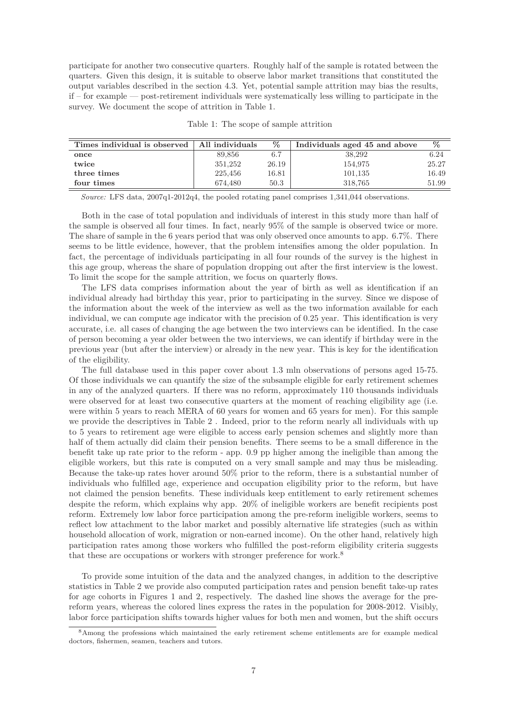participate for another two consecutive quarters. Roughly half of the sample is rotated between the quarters. Given this design, it is suitable to observe labor market transitions that constituted the output variables described in the section 4.3. Yet, potential sample attrition may bias the results, if – for example — post-retirement individuals were systematically less willing to participate in the survey. We document the scope of attrition in Table 1.

| Times individual is observed   All individuals |         | $\%$  | Individuals aged 45 and above | $\%$  |
|------------------------------------------------|---------|-------|-------------------------------|-------|
| once                                           | 89.856  | 6.7   | 38,292                        | 6.24  |
| twice                                          | 351.252 | 26.19 | 154.975                       | 25.27 |
| three times                                    | 225,456 | 16.81 | 101.135                       | 16.49 |

Table 1: The scope of sample attrition

**four times** 674,480 50.3 318,765 51.99

*Source:* LFS data, 2007q1-2012q4, the pooled rotating panel comprises 1,341,044 observations.

Both in the case of total population and individuals of interest in this study more than half of the sample is observed all four times. In fact, nearly 95% of the sample is observed twice or more. The share of sample in the 6 years period that was only observed once amounts to app. 6.7%. There seems to be little evidence, however, that the problem intensifies among the older population. In fact, the percentage of individuals participating in all four rounds of the survey is the highest in this age group, whereas the share of population dropping out after the first interview is the lowest. To limit the scope for the sample attrition, we focus on quarterly flows.

The LFS data comprises information about the year of birth as well as identification if an individual already had birthday this year, prior to participating in the survey. Since we dispose of the information about the week of the interview as well as the two information available for each individual, we can compute age indicator with the precision of 0.25 year. This identification is very accurate, i.e. all cases of changing the age between the two interviews can be identified. In the case of person becoming a year older between the two interviews, we can identify if birthday were in the previous year (but after the interview) or already in the new year. This is key for the identification of the eligibility.

The full database used in this paper cover about 1.3 mln observations of persons aged 15-75. Of those individuals we can quantify the size of the subsample eligible for early retirement schemes in any of the analyzed quarters. If there was no reform, approximately 110 thousands individuals were observed for at least two consecutive quarters at the moment of reaching eligibility age (i.e. were within 5 years to reach MERA of 60 years for women and 65 years for men). For this sample we provide the descriptives in Table 2 . Indeed, prior to the reform nearly all individuals with up to 5 years to retirement age were eligible to access early pension schemes and slightly more than half of them actually did claim their pension benefits. There seems to be a small difference in the benefit take up rate prior to the reform - app. 0.9 pp higher among the ineligible than among the eligible workers, but this rate is computed on a very small sample and may thus be misleading. Because the take-up rates hover around 50% prior to the reform, there is a substantial number of individuals who fulfilled age, experience and occupation eligibility prior to the reform, but have not claimed the pension benefits. These individuals keep entitlement to early retirement schemes despite the reform, which explains why app. 20% of ineligible workers are benefit recipients post reform. Extremely low labor force participation among the pre-reform ineligible workers, seems to reflect low attachment to the labor market and possibly alternative life strategies (such as within household allocation of work, migration or non-earned income). On the other hand, relatively high participation rates among those workers who fulfilled the post-reform eligibility criteria suggests that these are occupations or workers with stronger preference for work.<sup>8</sup>

To provide some intuition of the data and the analyzed changes, in addition to the descriptive statistics in Table 2 we provide also computed participation rates and pension benefit take-up rates for age cohorts in Figures 1 and 2, respectively. The dashed line shows the average for the prereform years, whereas the colored lines express the rates in the population for 2008-2012. Visibly, labor force participation shifts towards higher values for both men and women, but the shift occurs

<sup>8</sup>Among the professions which maintained the early retirement scheme entitlements are for example medical doctors, fishermen, seamen, teachers and tutors.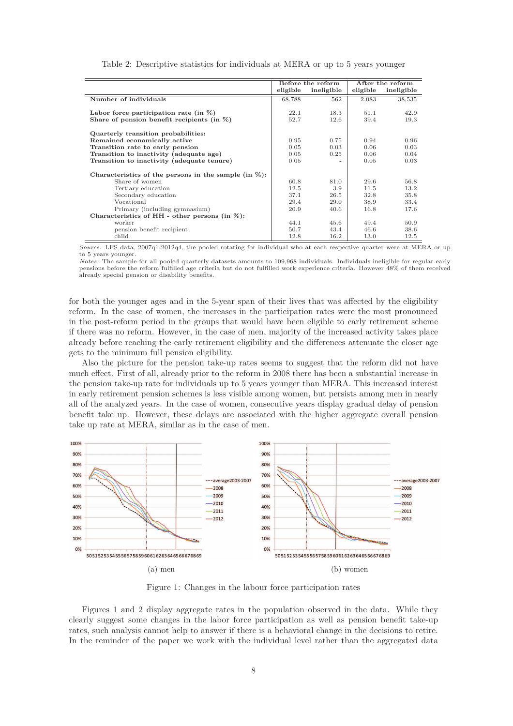|                                                          | Before the reform |            | After the reform |            |
|----------------------------------------------------------|-------------------|------------|------------------|------------|
|                                                          | eligible          | ineligible | eligible         | ineligible |
| Number of individuals                                    | 68,788            | 562        | 2,083            | 38,535     |
|                                                          |                   |            |                  |            |
| Labor force participation rate (in $\%$ )                | 22.1              | 18.3       | 51.1             | 42.9       |
| Share of pension benefit recipients (in $\%$ )           | 52.7              | 12.6       | 39.4             | 19.3       |
| Quarterly transition probabilities:                      |                   |            |                  |            |
| Remained economically active                             | 0.95              | 0.75       | 0.94             | 0.96       |
| Transition rate to early pension                         | 0.05              | 0.03       | 0.06             | 0.03       |
| Transition to inactivity (adequate age)                  | 0.05              | 0.25       | 0.06             | 0.04       |
| Transition to inactivity (adequate tenure)               | 0.05              |            | 0.05             | 0.03       |
| Characteristics of the persons in the sample (in $\%$ ): |                   |            |                  |            |
| Share of women                                           | 60.8              | 81.0       | 29.6             | 56.8       |
| Tertiary education                                       | 12.5              | 3.9        | 11.5             | 13.2       |
| Secondary education                                      | 37.1              | 26.5       | 32.8             | 35.8       |
| Vocational                                               | 29.4              | 29.0       | 38.9             | 33.4       |
| Primary (including gymnasium)                            | 20.9              | 40.6       | 16.8             | 17.6       |
| Characteristics of HH - other persons (in $\%$ ):        |                   |            |                  |            |
| worker                                                   | 44.1              | 45.6       | 49.4             | 50.9       |
| pension benefit recipient                                | 50.7              | 43.4       | 46.6             | 38.6       |
| child                                                    | 12.8              | 16.2       | 13.0             | 12.5       |

| Table 2: Descriptive statistics for individuals at MERA or up to 5 years younger |  |  |
|----------------------------------------------------------------------------------|--|--|
|----------------------------------------------------------------------------------|--|--|

*Source:* LFS data, 2007q1-2012q4, the pooled rotating for individual who at each respective quarter were at MERA or up to 5 years younger.

*Notes:* The sample for all pooled quarterly datasets amounts to 109,968 individuals. Individuals ineligible for regular early pensions before the reform fulfilled age criteria but do not fulfilled work experience criteria. However 48% of them received already special pension or disability benefits.

for both the younger ages and in the 5-year span of their lives that was affected by the eligibility reform. In the case of women, the increases in the participation rates were the most pronounced in the post-reform period in the groups that would have been eligible to early retirement scheme if there was no reform. However, in the case of men, majority of the increased activity takes place already before reaching the early retirement eligibility and the differences attenuate the closer age gets to the minimum full pension eligibility.

Also the picture for the pension take-up rates seems to suggest that the reform did not have much effect. First of all, already prior to the reform in 2008 there has been a substantial increase in the pension take-up rate for individuals up to 5 years younger than MERA. This increased interest in early retirement pension schemes is less visible among women, but persists among men in nearly all of the analyzed years. In the case of women, consecutive years display gradual delay of pension benefit take up. However, these delays are associated with the higher aggregate overall pension take up rate at MERA, similar as in the case of men.



Figure 1: Changes in the labour force participation rates

Figures 1 and 2 display aggregate rates in the population observed in the data. While they clearly suggest some changes in the labor force participation as well as pension benefit take-up rates, such analysis cannot help to answer if there is a behavioral change in the decisions to retire. In the reminder of the paper we work with the individual level rather than the aggregated data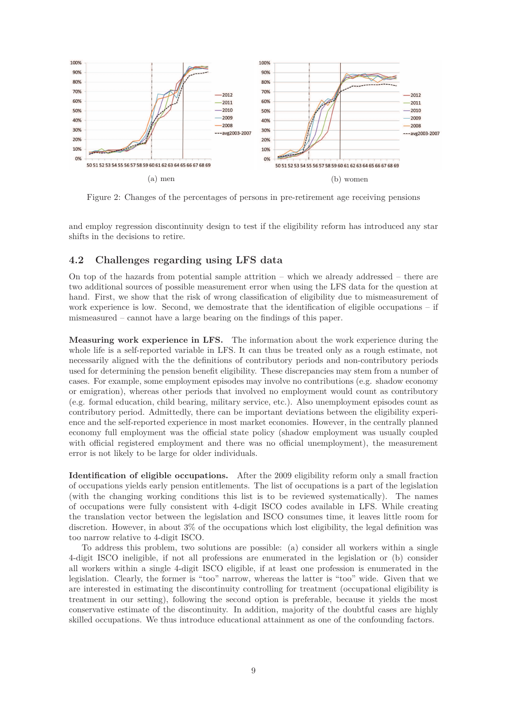

Figure 2: Changes of the percentages of persons in pre-retirement age receiving pensions

and employ regression discontinuity design to test if the eligibility reform has introduced any star shifts in the decisions to retire.

#### **4.2 Challenges regarding using LFS data**

On top of the hazards from potential sample attrition – which we already addressed – there are two additional sources of possible measurement error when using the LFS data for the question at hand. First, we show that the risk of wrong classification of eligibility due to mismeasurement of work experience is low. Second, we demostrate that the identification of eligible occupations – if mismeasured – cannot have a large bearing on the findings of this paper.

**Measuring work experience in LFS.** The information about the work experience during the whole life is a self-reported variable in LFS. It can thus be treated only as a rough estimate, not necessarily aligned with the the definitions of contributory periods and non-contributory periods used for determining the pension benefit eligibility. These discrepancies may stem from a number of cases. For example, some employment episodes may involve no contributions (e.g. shadow economy or emigration), whereas other periods that involved no employment would count as contributory (e.g. formal education, child bearing, military service, etc.). Also unemployment episodes count as contributory period. Admittedly, there can be important deviations between the eligibility experience and the self-reported experience in most market economies. However, in the centrally planned economy full employment was the official state policy (shadow employment was usually coupled with official registered employment and there was no official unemployment), the measurement error is not likely to be large for older individuals.

**Identification of eligible occupations.** After the 2009 eligibility reform only a small fraction of occupations yields early pension entitlements. The list of occupations is a part of the legislation (with the changing working conditions this list is to be reviewed systematically). The names of occupations were fully consistent with 4-digit ISCO codes available in LFS. While creating the translation vector between the legislation and ISCO consumes time, it leaves little room for discretion. However, in about 3% of the occupations which lost eligibility, the legal definition was too narrow relative to 4-digit ISCO.

To address this problem, two solutions are possible: (a) consider all workers within a single 4-digit ISCO ineligible, if not all professions are enumerated in the legislation or (b) consider all workers within a single 4-digit ISCO eligible, if at least one profession is enumerated in the legislation. Clearly, the former is "too" narrow, whereas the latter is "too" wide. Given that we are interested in estimating the discontinuity controlling for treatment (occupational eligibility is treatment in our setting), following the second option is preferable, because it yields the most conservative estimate of the discontinuity. In addition, majority of the doubtful cases are highly skilled occupations. We thus introduce educational attainment as one of the confounding factors.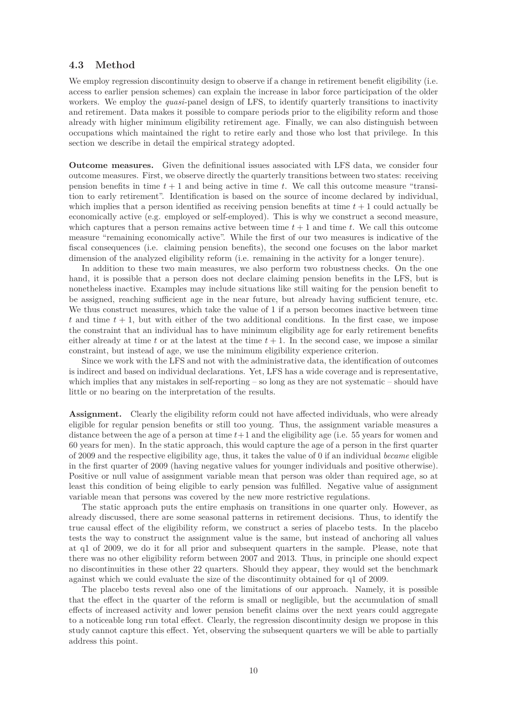#### **4.3 Method**

We employ regression discontinuity design to observe if a change in retirement benefit eligibility (i.e. access to earlier pension schemes) can explain the increase in labor force participation of the older workers. We employ the *quasi*-panel design of LFS, to identify quarterly transitions to inactivity and retirement. Data makes it possible to compare periods prior to the eligibility reform and those already with higher minimum eligibility retirement age. Finally, we can also distinguish between occupations which maintained the right to retire early and those who lost that privilege. In this section we describe in detail the empirical strategy adopted.

**Outcome measures.** Given the definitional issues associated with LFS data, we consider four outcome measures. First, we observe directly the quarterly transitions between two states: receiving pension benefits in time *t* + 1 and being active in time *t*. We call this outcome measure "transition to early retirement". Identification is based on the source of income declared by individual, which implies that a person identified as receiving pension benefits at time *t* + 1 could actually be economically active (e.g. employed or self-employed). This is why we construct a second measure, which captures that a person remains active between time  $t + 1$  and time  $t$ . We call this outcome measure "remaining economically active". While the first of our two measures is indicative of the fiscal consequences (i.e. claiming pension benefits), the second one focuses on the labor market dimension of the analyzed eligibility reform (i.e. remaining in the activity for a longer tenure).

In addition to these two main measures, we also perform two robustness checks. On the one hand, it is possible that a person does not declare claiming pension benefits in the LFS, but is nonetheless inactive. Examples may include situations like still waiting for the pension benefit to be assigned, reaching sufficient age in the near future, but already having sufficient tenure, etc. We thus construct measures, which take the value of 1 if a person becomes inactive between time  $t$  and time  $t + 1$ , but with either of the two additional conditions. In the first case, we impose the constraint that an individual has to have minimum eligibility age for early retirement benefits either already at time  $t$  or at the latest at the time  $t + 1$ . In the second case, we impose a similar constraint, but instead of age, we use the minimum eligibility experience criterion.

Since we work with the LFS and not with the administrative data, the identification of outcomes is indirect and based on individual declarations. Yet, LFS has a wide coverage and is representative, which implies that any mistakes in self-reporting – so long as they are not systematic – should have little or no bearing on the interpretation of the results.

Assignment. Clearly the eligibility reform could not have affected individuals, who were already eligible for regular pension benefits or still too young. Thus, the assignment variable measures a distance between the age of a person at time  $t+1$  and the eligibility age (i.e. 55 years for women and 60 years for men). In the static approach, this would capture the age of a person in the first quarter of 2009 and the respective eligibility age, thus, it takes the value of 0 if an individual *became* eligible in the first quarter of 2009 (having negative values for younger individuals and positive otherwise). Positive or null value of assignment variable mean that person was older than required age, so at least this condition of being eligible to early pension was fulfilled. Negative value of assignment variable mean that persons was covered by the new more restrictive regulations.

The static approach puts the entire emphasis on transitions in one quarter only. However, as already discussed, there are some seasonal patterns in retirement decisions. Thus, to identify the true causal effect of the eligibility reform, we construct a series of placebo tests. In the placebo tests the way to construct the assignment value is the same, but instead of anchoring all values at q1 of 2009, we do it for all prior and subsequent quarters in the sample. Please, note that there was no other eligibility reform between 2007 and 2013. Thus, in principle one should expect no discontinuities in these other 22 quarters. Should they appear, they would set the benchmark against which we could evaluate the size of the discontinuity obtained for q1 of 2009.

The placebo tests reveal also one of the limitations of our approach. Namely, it is possible that the effect in the quarter of the reform is small or negligible, but the accumulation of small effects of increased activity and lower pension benefit claims over the next years could aggregate to a noticeable long run total effect. Clearly, the regression discontinuity design we propose in this study cannot capture this effect. Yet, observing the subsequent quarters we will be able to partially address this point.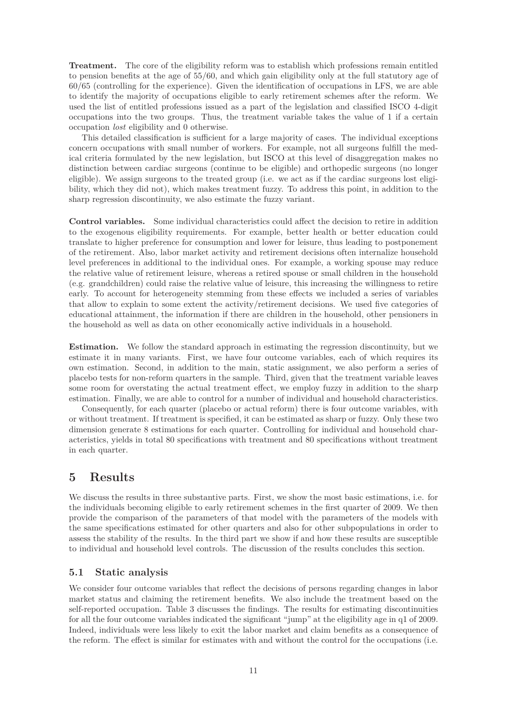**Treatment.** The core of the eligibility reform was to establish which professions remain entitled to pension benefits at the age of 55/60, and which gain eligibility only at the full statutory age of 60/65 (controlling for the experience). Given the identification of occupations in LFS, we are able to identify the majority of occupations eligible to early retirement schemes after the reform. We used the list of entitled professions issued as a part of the legislation and classified ISCO 4-digit occupations into the two groups. Thus, the treatment variable takes the value of 1 if a certain occupation *lost* eligibility and 0 otherwise.

This detailed classification is sufficient for a large majority of cases. The individual exceptions concern occupations with small number of workers. For example, not all surgeons fulfill the medical criteria formulated by the new legislation, but ISCO at this level of disaggregation makes no distinction between cardiac surgeons (continue to be eligible) and orthopedic surgeons (no longer eligible). We assign surgeons to the treated group (i.e. we act as if the cardiac surgeons lost eligibility, which they did not), which makes treatment fuzzy. To address this point, in addition to the sharp regression discontinuity, we also estimate the fuzzy variant.

**Control variables.** Some individual characteristics could affect the decision to retire in addition to the exogenous eligibility requirements. For example, better health or better education could translate to higher preference for consumption and lower for leisure, thus leading to postponement of the retirement. Also, labor market activity and retirement decisions often internalize household level preferences in additional to the individual ones. For example, a working spouse may reduce the relative value of retirement leisure, whereas a retired spouse or small children in the household (e.g. grandchildren) could raise the relative value of leisure, this increasing the willingness to retire early. To account for heterogeneity stemming from these effects we included a series of variables that allow to explain to some extent the activity/retirement decisions. We used five categories of educational attainment, the information if there are children in the household, other pensioners in the household as well as data on other economically active individuals in a household.

**Estimation.** We follow the standard approach in estimating the regression discontinuity, but we estimate it in many variants. First, we have four outcome variables, each of which requires its own estimation. Second, in addition to the main, static assignment, we also perform a series of placebo tests for non-reform quarters in the sample. Third, given that the treatment variable leaves some room for overstating the actual treatment effect, we employ fuzzy in addition to the sharp estimation. Finally, we are able to control for a number of individual and household characteristics.

Consequently, for each quarter (placebo or actual reform) there is four outcome variables, with or without treatment. If treatment is specified, it can be estimated as sharp or fuzzy. Only these two dimension generate 8 estimations for each quarter. Controlling for individual and household characteristics, yields in total 80 specifications with treatment and 80 specifications without treatment in each quarter.

### **5 Results**

We discuss the results in three substantive parts. First, we show the most basic estimations, i.e. for the individuals becoming eligible to early retirement schemes in the first quarter of 2009. We then provide the comparison of the parameters of that model with the parameters of the models with the same specifications estimated for other quarters and also for other subpopulations in order to assess the stability of the results. In the third part we show if and how these results are susceptible to individual and household level controls. The discussion of the results concludes this section.

#### **5.1 Static analysis**

We consider four outcome variables that reflect the decisions of persons regarding changes in labor market status and claiming the retirement benefits. We also include the treatment based on the self-reported occupation. Table 3 discusses the findings. The results for estimating discontinuities for all the four outcome variables indicated the significant "jump" at the eligibility age in q1 of 2009. Indeed, individuals were less likely to exit the labor market and claim benefits as a consequence of the reform. The effect is similar for estimates with and without the control for the occupations (i.e.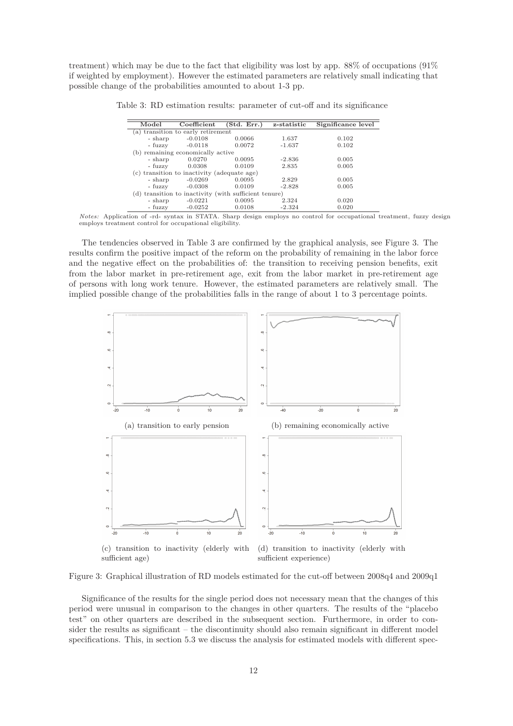treatment) which may be due to the fact that eligibility was lost by app. 88% of occupations (91% if weighted by employment). However the estimated parameters are relatively small indicating that possible change of the probabilities amounted to about 1-3 pp.

| Model                                                 | Coefficient                                 | Std. Err.) | z-statistic | Significance level |  |  |
|-------------------------------------------------------|---------------------------------------------|------------|-------------|--------------------|--|--|
|                                                       | (a) transition to early retirement          |            |             |                    |  |  |
| - sharp                                               | $-0.0108$                                   | 0.0066     | 1.637       | 0.102              |  |  |
| - fuzzy                                               | $-0.0118$                                   | 0.0072     | $-1.637$    | 0.102              |  |  |
|                                                       | (b) remaining economically active           |            |             |                    |  |  |
| - sharp                                               | 0.0270                                      | 0.0095     | $-2.836$    | 0.005              |  |  |
| - fuzzy                                               | 0.0308                                      | 0.0109     | 2.835       | 0.005              |  |  |
|                                                       | (c) transition to inactivity (adequate age) |            |             |                    |  |  |
| - sharp                                               | $-0.0269$                                   | 0.0095     | 2.829       | 0.005              |  |  |
| - fuzzy                                               | $-0.0308$                                   | 0.0109     | $-2.828$    | 0.005              |  |  |
| (d) transition to inactivity (with sufficient tenure) |                                             |            |             |                    |  |  |
| - sharp                                               | $-0.0221$                                   | 0.0095     | 2.324       | 0.020              |  |  |
| - fuzzy                                               | $-0.0252$                                   | 0.0108     | $-2.324$    | 0.020              |  |  |

Table 3: RD estimation results: parameter of cut-off and its significance

*Notes:* Application of -rd- syntax in STATA. Sharp design employs no control for occupational treatment, fuzzy design employs treatment control for occupational eligibility.

The tendencies observed in Table 3 are confirmed by the graphical analysis, see Figure 3. The results confirm the positive impact of the reform on the probability of remaining in the labor force and the negative effect on the probabilities of: the transition to receiving pension benefits, exit from the labor market in pre-retirement age, exit from the labor market in pre-retirement age of persons with long work tenure. However, the estimated parameters are relatively small. The implied possible change of the probabilities falls in the range of about 1 to 3 percentage points.



Figure 3: Graphical illustration of RD models estimated for the cut-off between 2008q4 and 2009q1

Significance of the results for the single period does not necessary mean that the changes of this period were unusual in comparison to the changes in other quarters. The results of the "placebo test" on other quarters are described in the subsequent section. Furthermore, in order to consider the results as significant – the discontinuity should also remain significant in different model specifications. This, in section 5.3 we discuss the analysis for estimated models with different spec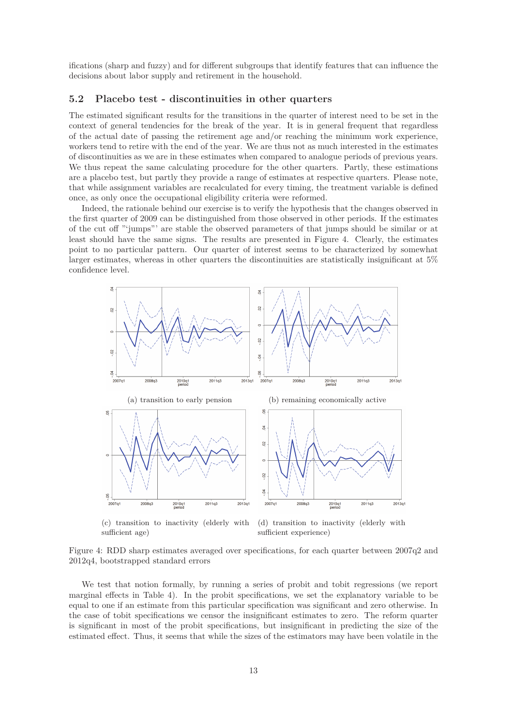ifications (sharp and fuzzy) and for different subgroups that identify features that can influence the decisions about labor supply and retirement in the household.

#### **5.2 Placebo test - discontinuities in other quarters**

The estimated significant results for the transitions in the quarter of interest need to be set in the context of general tendencies for the break of the year. It is in general frequent that regardless of the actual date of passing the retirement age and/or reaching the minimum work experience, workers tend to retire with the end of the year. We are thus not as much interested in the estimates of discontinuities as we are in these estimates when compared to analogue periods of previous years. We thus repeat the same calculating procedure for the other quarters. Partly, these estimations are a placebo test, but partly they provide a range of estimates at respective quarters. Please note, that while assignment variables are recalculated for every timing, the treatment variable is defined once, as only once the occupational eligibility criteria were reformed.

Indeed, the rationale behind our exercise is to verify the hypothesis that the changes observed in the first quarter of 2009 can be distinguished from those observed in other periods. If the estimates of the cut off "'jumps"' are stable the observed parameters of that jumps should be similar or at least should have the same signs. The results are presented in Figure 4. Clearly, the estimates point to no particular pattern. Our quarter of interest seems to be characterized by somewhat larger estimates, whereas in other quarters the discontinuities are statistically insignificant at 5% confidence level.



(c) transition to inactivity (elderly with sufficient age) (d) transition to inactivity (elderly with sufficient experience)

Figure 4: RDD sharp estimates averaged over specifications, for each quarter between 2007q2 and 2012q4, bootstrapped standard errors

We test that notion formally, by running a series of probit and tobit regressions (we report marginal effects in Table 4). In the probit specifications, we set the explanatory variable to be equal to one if an estimate from this particular specification was significant and zero otherwise. In the case of tobit specifications we censor the insignificant estimates to zero. The reform quarter is significant in most of the probit specifications, but insignificant in predicting the size of the estimated effect. Thus, it seems that while the sizes of the estimators may have been volatile in the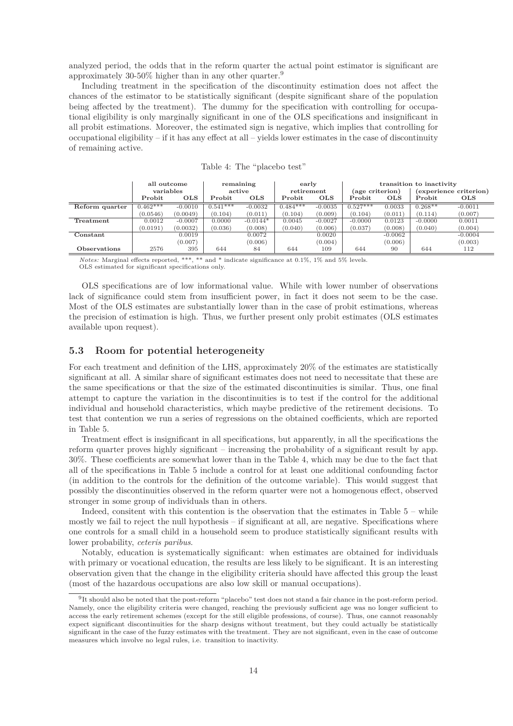analyzed period, the odds that in the reform quarter the actual point estimator is significant are approximately 30-50% higher than in any other quarter.<sup>9</sup>

Including treatment in the specification of the discontinuity estimation does not affect the chances of the estimator to be statistically significant (despite significant share of the population being affected by the treatment). The dummy for the specification with controlling for occupational eligibility is only marginally significant in one of the OLS specifications and insignificant in all probit estimations. Moreover, the estimated sign is negative, which implies that controlling for occupational eligibility – if it has any effect at all – yields lower estimates in the case of discontinuity of remaining active.

|                | all outcome   |            | remaining<br>early |            | transition to inactivity |            |                 |            |           |                        |
|----------------|---------------|------------|--------------------|------------|--------------------------|------------|-----------------|------------|-----------|------------------------|
|                | variables     |            |                    | active     | retirement               |            | (age criterion) |            |           | (experience criterion) |
|                | <b>Probit</b> | <b>OLS</b> | Probit             | <b>OLS</b> | <b>Probit</b>            | <b>OLS</b> | <b>Probit</b>   | <b>OLS</b> | Probit    | <b>OLS</b>             |
| Reform quarter | $0.462***$    | $-0.0010$  | $0.541***$         | $-0.0032$  | $0.484***$               | $-0.0035$  | $0.527***$      | 0.0033     | $0.268**$ | $-0.0011$              |
|                | (0.0546)      | (0.0049)   | (0.104)            | (0.011)    | (0.104)                  | (0.009)    | (0.104)         | (0.011)    | (0.114)   | (0.007)                |
| Treatment      | 0.0012        | $-0.0007$  | 0.0000             | $-0.0144*$ | 0.0045                   | $-0.0027$  | $-0.0000$       | 0.0123     | $-0.0000$ | 0.0011                 |
|                | (0.0191)      | (0.0032)   | (0.036)            | (0.008)    | (0.040)                  | (0.006)    | (0.037)         | (0.008)    | (0.040)   | (0.004)                |
| Constant       |               | 0.0019     |                    | 0.0072     |                          | 0.0020     |                 | $-0.0062$  |           | $-0.0004$              |
|                |               | (0.007)    |                    | (0.006)    |                          | (0.004)    |                 | (0.006)    |           | (0.003)                |
| Observations   | 2576          | 395        | 644                | 84         | 644                      | 109        | 644             | 90         | 644       | 112                    |

| Table 4: The "placebo test" |  |  |
|-----------------------------|--|--|
|-----------------------------|--|--|

*Notes:* Marginal effects reported, \*\*\*, \*\* and \* indicate significance at 0.1%, 1% and 5% levels. OLS estimated for significant specifications only.

OLS specifications are of low informational value. While with lower number of observations lack of significance could stem from insufficient power, in fact it does not seem to be the case. Most of the OLS estimates are substantially lower than in the case of probit estimations, whereas the precision of estimation is high. Thus, we further present only probit estimates (OLS estimates available upon request).

#### **5.3 Room for potential heterogeneity**

For each treatment and definition of the LHS, approximately 20% of the estimates are statistically significant at all. A similar share of significant estimates does not need to necessitate that these are the same specifications or that the size of the estimated discontinuities is similar. Thus, one final attempt to capture the variation in the discontinuities is to test if the control for the additional individual and household characteristics, which maybe predictive of the retirement decisions. To test that contention we run a series of regressions on the obtained coefficients, which are reported in Table 5.

Treatment effect is insignificant in all specifications, but apparently, in all the specifications the reform quarter proves highly significant – increasing the probability of a significant result by app. 30%. These coefficients are somewhat lower than in the Table 4, which may be due to the fact that all of the specifications in Table 5 include a control for at least one additional confounding factor (in addition to the controls for the definition of the outcome variable). This would suggest that possibly the discontinuities observed in the reform quarter were not a homogenous effect, observed stronger in some group of individuals than in others.

Indeed, consitent with this contention is the observation that the estimates in Table 5 – while mostly we fail to reject the null hypothesis – if significant at all, are negative. Specifications where one controls for a small child in a household seem to produce statistically significant results with lower probability, *ceteris paribus*.

Notably, education is systematically significant: when estimates are obtained for individuals with primary or vocational education, the results are less likely to be significant. It is an interesting observation given that the change in the eligibility criteria should have affected this group the least (most of the hazardous occupations are also low skill or manual occupations).

<sup>9</sup> It should also be noted that the post-reform "placebo" test does not stand a fair chance in the post-reform period. Namely, once the eligibility criteria were changed, reaching the previously sufficient age was no longer sufficient to access the early retirement schemes (except for the still eligible professions, of course). Thus, one cannot reasonably expect significant discontinuities for the sharp designs without treatment, but they could actually be statistically significant in the case of the fuzzy estimates with the treatment. They are not significant, even in the case of outcome measures which involve no legal rules, i.e. transition to inactivity.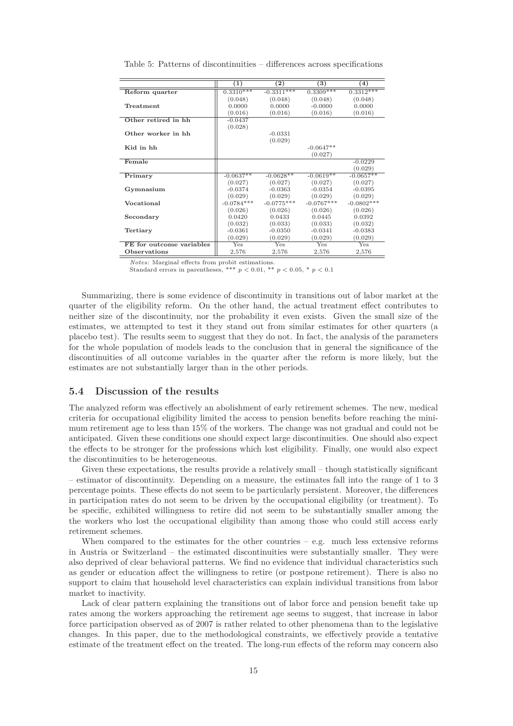|                          | $\left(1\right)$ | $\bf(2)$     | $\left(3\right)$ | $\left(4\right)$ |
|--------------------------|------------------|--------------|------------------|------------------|
|                          |                  |              |                  |                  |
| Reform quarter           | $0.3310***$      | $-0.3311***$ | $0.3309***$      | $0.3312***$      |
|                          | (0.048)          | (0.048)      | (0.048)          | (0.048)          |
| Treatment                | 0.0000           | 0.0000       | $-0.0000$        | 0.0000           |
|                          | (0.016)          | (0.016)      | (0.016)          | (0.016)          |
| Other retired in hh      | $-0.0437$        |              |                  |                  |
|                          | (0.028)          |              |                  |                  |
| Other worker in hh       |                  | $-0.0331$    |                  |                  |
|                          |                  | (0.029)      |                  |                  |
| Kid in hh                |                  |              | $-0.0647**$      |                  |
|                          |                  |              | (0.027)          |                  |
| Female                   |                  |              |                  | $-0.0229$        |
|                          |                  |              |                  | (0.029)          |
| Primary                  | $-0.0637**$      | $-0.0628**$  | $-0.0619**$      | $-0.0657**$      |
|                          | (0.027)          | (0.027)      | (0.027)          | (0.027)          |
| Gymnasium                | $-0.0374$        | $-0.0363$    | $-0.0354$        | $-0.0395$        |
|                          | (0.029)          | (0.029)      | (0.029)          | (0.029)          |
| Vocational               | $-0.0784***$     | $-0.0775***$ | $-0.0767***$     | $-0.0802***$     |
|                          | (0.026)          | (0.026)      | (0.026)          | (0.026)          |
| Secondary                | 0.0420           | 0.0433       | 0.0445           | 0.0392           |
|                          | (0.032)          | (0.033)      | (0.033)          | (0.032)          |
| Tertiary                 | $-0.0361$        | $-0.0350$    | $-0.0341$        | $-0.0383$        |
|                          | (0.029)          | (0.029)      | (0.029)          | (0.029)          |
| FE for outcome variables | Yes              | <b>Yes</b>   | Yes              | Yes              |
| Observations             | 2,576            | 2,576        | 2,576            | 2,576            |

Table 5: Patterns of discontinuities – differences across specifications

*Notes:* Marginal effects from probit estimations.

Standard errors in parentheses, \*\*\*  $p < 0.01$ , \*\*  $p < 0.05$ , \*  $p < 0.1$ 

Summarizing, there is some evidence of discontinuity in transitions out of labor market at the quarter of the eligibility reform. On the other hand, the actual treatment effect contributes to neither size of the discontinuity, nor the probability it even exists. Given the small size of the estimates, we attempted to test it they stand out from similar estimates for other quarters (a placebo test). The results seem to suggest that they do not. In fact, the analysis of the parameters for the whole population of models leads to the conclusion that in general the significance of the discontinuities of all outcome variables in the quarter after the reform is more likely, but the estimates are not substantially larger than in the other periods.

#### **5.4 Discussion of the results**

The analyzed reform was effectively an abolishment of early retirement schemes. The new, medical criteria for occupational eligibility limited the access to pension benefits before reaching the minimum retirement age to less than 15% of the workers. The change was not gradual and could not be anticipated. Given these conditions one should expect large discontinuities. One should also expect the effects to be stronger for the professions which lost eligibility. Finally, one would also expect the discontinuities to be heterogeneous.

Given these expectations, the results provide a relatively small – though statistically significant – estimator of discontinuity. Depending on a measure, the estimates fall into the range of 1 to 3 percentage points. These effects do not seem to be particularly persistent. Moreover, the differences in participation rates do not seem to be driven by the occupational eligibility (or treatment). To be specific, exhibited willingness to retire did not seem to be substantially smaller among the the workers who lost the occupational eligibility than among those who could still access early retirement schemes.

When compared to the estimates for the other countries  $-$  e.g. much less extensive reforms in Austria or Switzerland – the estimated discontinuities were substantially smaller. They were also deprived of clear behavioral patterns. We find no evidence that individual characteristics such as gender or education affect the willingness to retire (or postpone retirement). There is also no support to claim that household level characteristics can explain individual transitions from labor market to inactivity.

Lack of clear pattern explaining the transitions out of labor force and pension benefit take up rates among the workers approaching the retirement age seems to suggest, that increase in labor force participation observed as of 2007 is rather related to other phenomena than to the legislative changes. In this paper, due to the methodological constraints, we effectively provide a tentative estimate of the treatment effect on the treated. The long-run effects of the reform may concern also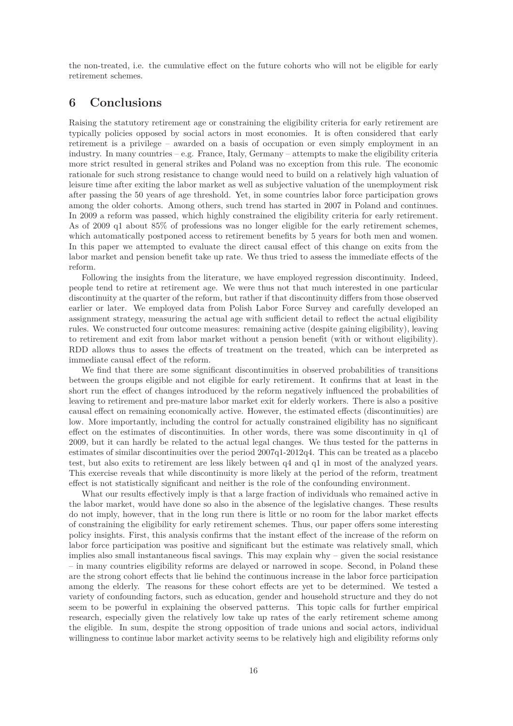the non-treated, i.e. the cumulative effect on the future cohorts who will not be eligible for early retirement schemes.

## **6 Conclusions**

Raising the statutory retirement age or constraining the eligibility criteria for early retirement are typically policies opposed by social actors in most economies. It is often considered that early retirement is a privilege – awarded on a basis of occupation or even simply employment in an industry. In many countries – e.g. France, Italy, Germany – attempts to make the eligibility criteria more strict resulted in general strikes and Poland was no exception from this rule. The economic rationale for such strong resistance to change would need to build on a relatively high valuation of leisure time after exiting the labor market as well as subjective valuation of the unemployment risk after passing the 50 years of age threshold. Yet, in some countries labor force participation grows among the older cohorts. Among others, such trend has started in 2007 in Poland and continues. In 2009 a reform was passed, which highly constrained the eligibility criteria for early retirement. As of 2009 q1 about 85% of professions was no longer eligible for the early retirement schemes, which automatically postponed access to retirement benefits by 5 years for both men and women. In this paper we attempted to evaluate the direct causal effect of this change on exits from the labor market and pension benefit take up rate. We thus tried to assess the immediate effects of the reform.

Following the insights from the literature, we have employed regression discontinuity. Indeed, people tend to retire at retirement age. We were thus not that much interested in one particular discontinuity at the quarter of the reform, but rather if that discontinuity differs from those observed earlier or later. We employed data from Polish Labor Force Survey and carefully developed an assignment strategy, measuring the actual age with sufficient detail to reflect the actual eligibility rules. We constructed four outcome measures: remaining active (despite gaining eligibility), leaving to retirement and exit from labor market without a pension benefit (with or without eligibility). RDD allows thus to asses the effects of treatment on the treated, which can be interpreted as immediate causal effect of the reform.

We find that there are some significant discontinuities in observed probabilities of transitions between the groups eligible and not eligible for early retirement. It confirms that at least in the short run the effect of changes introduced by the reform negatively influenced the probabilities of leaving to retirement and pre-mature labor market exit for elderly workers. There is also a positive causal effect on remaining economically active. However, the estimated effects (discontinuities) are low. More importantly, including the control for actually constrained eligibility has no significant effect on the estimates of discontinuities. In other words, there was some discontinuity in q1 of 2009, but it can hardly be related to the actual legal changes. We thus tested for the patterns in estimates of similar discontinuities over the period 2007q1-2012q4. This can be treated as a placebo test, but also exits to retirement are less likely between q4 and q1 in most of the analyzed years. This exercise reveals that while discontinuity is more likely at the period of the reform, treatment effect is not statistically significant and neither is the role of the confounding environment.

What our results effectively imply is that a large fraction of individuals who remained active in the labor market, would have done so also in the absence of the legislative changes. These results do not imply, however, that in the long run there is little or no room for the labor market effects of constraining the eligibility for early retirement schemes. Thus, our paper offers some interesting policy insights. First, this analysis confirms that the instant effect of the increase of the reform on labor force participation was positive and significant but the estimate was relatively small, which implies also small instantaneous fiscal savings. This may explain why  $-$  given the social resistance – in many countries eligibility reforms are delayed or narrowed in scope. Second, in Poland these are the strong cohort effects that lie behind the continuous increase in the labor force participation among the elderly. The reasons for these cohort effects are yet to be determined. We tested a variety of confounding factors, such as education, gender and household structure and they do not seem to be powerful in explaining the observed patterns. This topic calls for further empirical research, especially given the relatively low take up rates of the early retirement scheme among the eligible. In sum, despite the strong opposition of trade unions and social actors, individual willingness to continue labor market activity seems to be relatively high and eligibility reforms only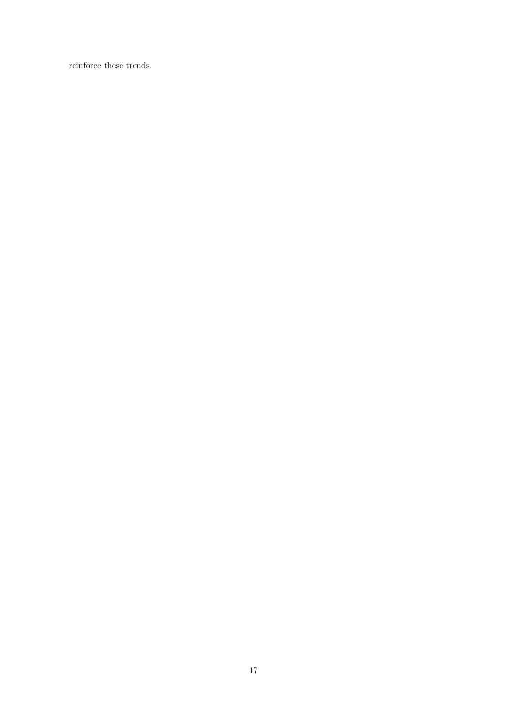reinforce these trends.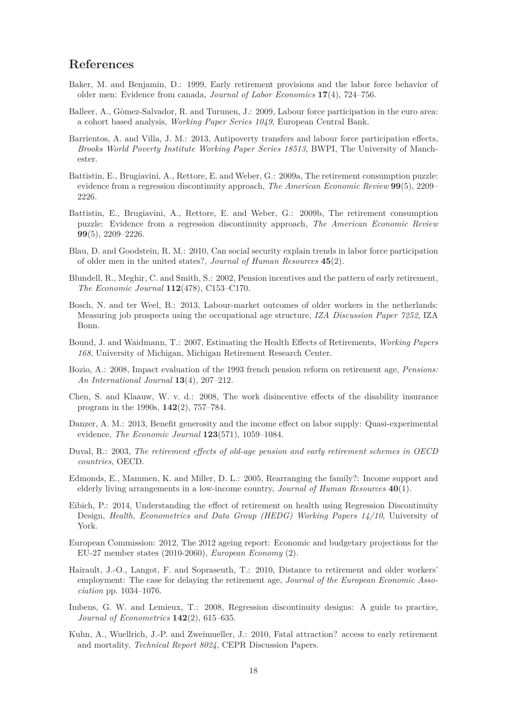# **References**

- Baker, M. and Benjamin, D.: 1999, Early retirement provisions and the labor force behavior of older men: Evidence from canada, *Journal of Labor Economics* **17**(4), 724–756.
- Balleer, A., Gòmez-Salvador, R. and Turunen, J.: 2009, Labour force participation in the euro area: a cohort based analysis, *Working Paper Series 1049*, European Central Bank.
- Barrientos, A. and Villa, J. M.: 2013, Antipoverty transfers and labour force participation effects, *Brooks World Poverty Institute Working Paper Series 18513*, BWPI, The University of Manchester.
- Battistin, E., Brugiavini, A., Rettore, E. and Weber, G.: 2009a, The retirement consumption puzzle: evidence from a regression discontinuity approach, *The American Economic Review* **99**(5), 2209– 2226.
- Battistin, E., Brugiavini, A., Rettore, E. and Weber, G.: 2009b, The retirement consumption puzzle: Evidence from a regression discontinuity approach, *The American Economic Review* **99**(5), 2209–2226.
- Blau, D. and Goodstein, R. M.: 2010, Can social security explain trends in labor force participation of older men in the united states?, *Journal of Human Resources* **45**(2).
- Blundell, R., Meghir, C. and Smith, S.: 2002, Pension incentives and the pattern of early retirement, *The Economic Journal* **112**(478), C153–C170.
- Bosch, N. and ter Weel, B.: 2013, Labour-market outcomes of older workers in the netherlands: Measuring job prospects using the occupational age structure, *IZA Discussion Paper 7252*, IZA Bonn.
- Bound, J. and Waidmann, T.: 2007, Estimating the Health Effects of Retirements, *Working Papers 168*, University of Michigan, Michigan Retirement Research Center.
- Bozio, A.: 2008, Impact evaluation of the 1993 french pension reform on retirement age, *Pensions: An International Journal* **13**(4), 207–212.
- Chen, S. and Klaauw, W. v. d.: 2008, The work disincentive effects of the disability insurance program in the 1990s, **142**(2), 757–784.
- Danzer, A. M.: 2013, Benefit generosity and the income effect on labor supply: Quasi-experimental evidence, *The Economic Journal* **123**(571), 1059–1084.
- Duval, R.: 2003, *The retirement effects of old-age pension and early retirement schemes in OECD countries*, OECD.
- Edmonds, E., Mammen, K. and Miller, D. L.: 2005, Rearranging the family?: Income support and elderly living arrangements in a low-income country, *Journal of Human Resources* **40**(1).
- Eibich, P.: 2014, Understanding the effect of retirement on health using Regression Discontinuity Design, *Health, Econometrics and Data Group (HEDG) Working Papers 14/10*, University of York.
- European Commission: 2012, The 2012 ageing report: Economic and budgetary projections for the EU-27 member states (2010-2060), *European Economy* (2).
- Hairault, J.-O., Langot, F. and Sopraseuth, T.: 2010, Distance to retirement and older workers' employment: The case for delaying the retirement age, *Journal of the European Economic Association* pp. 1034–1076.
- Imbens, G. W. and Lemieux, T.: 2008, Regression discontinuity designs: A guide to practice, *Journal of Econometrics* **142**(2), 615–635.
- Kuhn, A., Wuellrich, J.-P. and Zweimueller, J.: 2010, Fatal attraction? access to early retirement and mortality, *Technical Report 8024*, CEPR Discussion Papers.